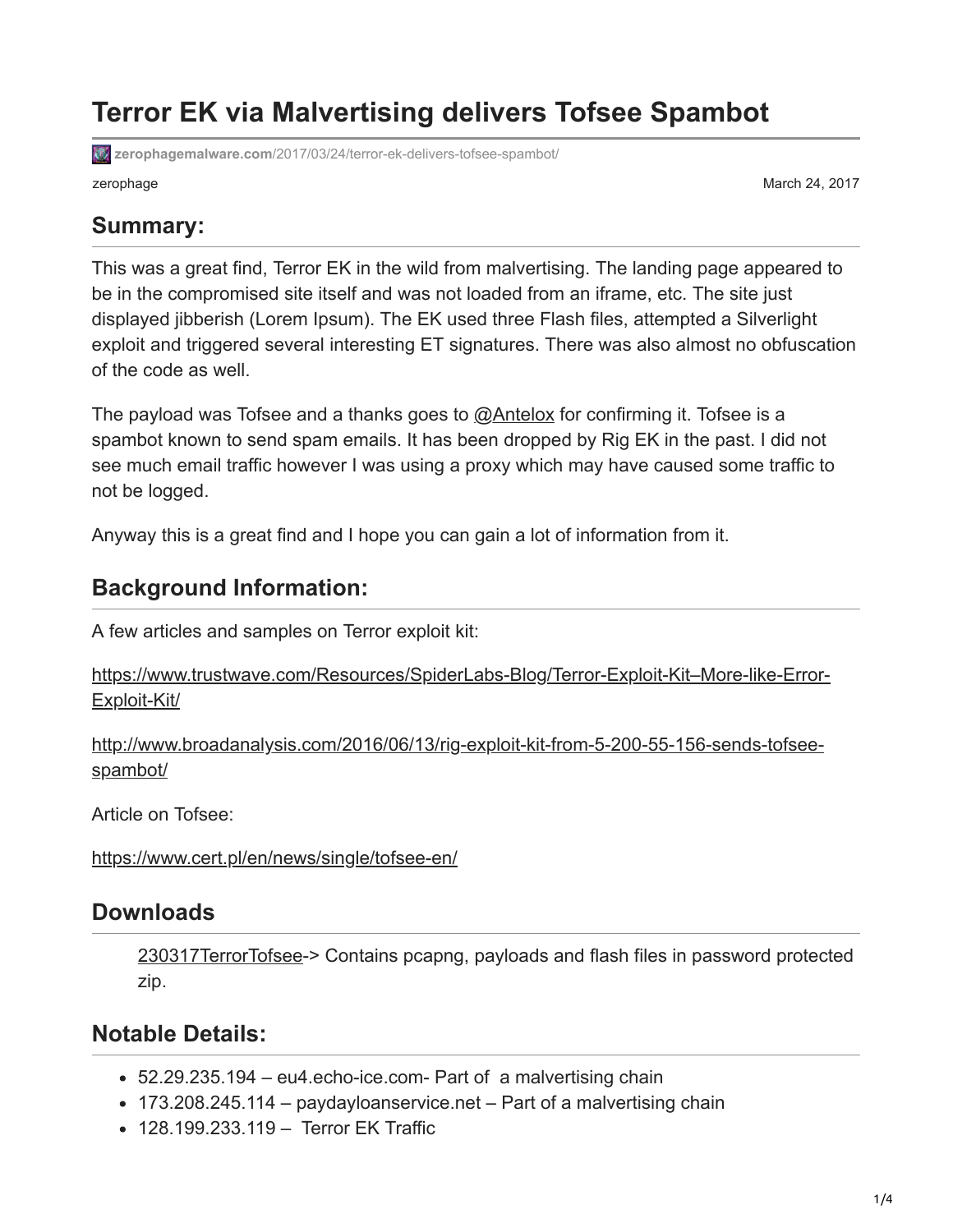# **Terror EK via Malvertising delivers Tofsee Spambot**

**zerophagemalware.com**[/2017/03/24/terror-ek-delivers-tofsee-spambot/](https://zerophagemalware.com/2017/03/24/terror-ek-delivers-tofsee-spambot/)

zerophage March 24, 2017

#### **Summary:**

This was a great find, Terror EK in the wild from malvertising. The landing page appeared to be in the compromised site itself and was not loaded from an iframe, etc. The site just displayed jibberish (Lorem Ipsum). The EK used three Flash files, attempted a Silverlight exploit and triggered several interesting ET signatures. There was also almost no obfuscation of the code as well.

The payload was Tofsee and a thanks goes to [@Antelox](https://twitter.com/Antelox) for confirming it. Tofsee is a spambot known to send spam emails. It has been dropped by Rig EK in the past. I did not see much email traffic however I was using a proxy which may have caused some traffic to not be logged.

Anyway this is a great find and I hope you can gain a lot of information from it.

#### **Background Information:**

A few articles and samples on Terror exploit kit:

[https://www.trustwave.com/Resources/SpiderLabs-Blog/Terror-Exploit-Kit–More-like-Error-](https://www.trustwave.com/Resources/SpiderLabs-Blog/Terror-Exploit-Kit--More-like-Error-Exploit-Kit/)Exploit-Kit/

[http://www.broadanalysis.com/2016/06/13/rig-exploit-kit-from-5-200-55-156-sends-tofsee](http://www.broadanalysis.com/2016/06/13/rig-exploit-kit-from-5-200-55-156-sends-tofsee-spambot/)spambot/

Article on Tofsee:

<https://www.cert.pl/en/news/single/tofsee-en/>

#### **Downloads**

[230317TerrorTofsee-](https://zerophagemalware.files.wordpress.com/2017/03/230317terrortofsee.zip)> Contains pcapng, payloads and flash files in password protected zip.

#### **Notable Details:**

- 52.29.235.194 eu4.echo-ice.com- Part of a malvertising chain
- 173.208.245.114 paydayloanservice.net Part of a malvertising chain
- 128.199.233.119 Terror EK Traffic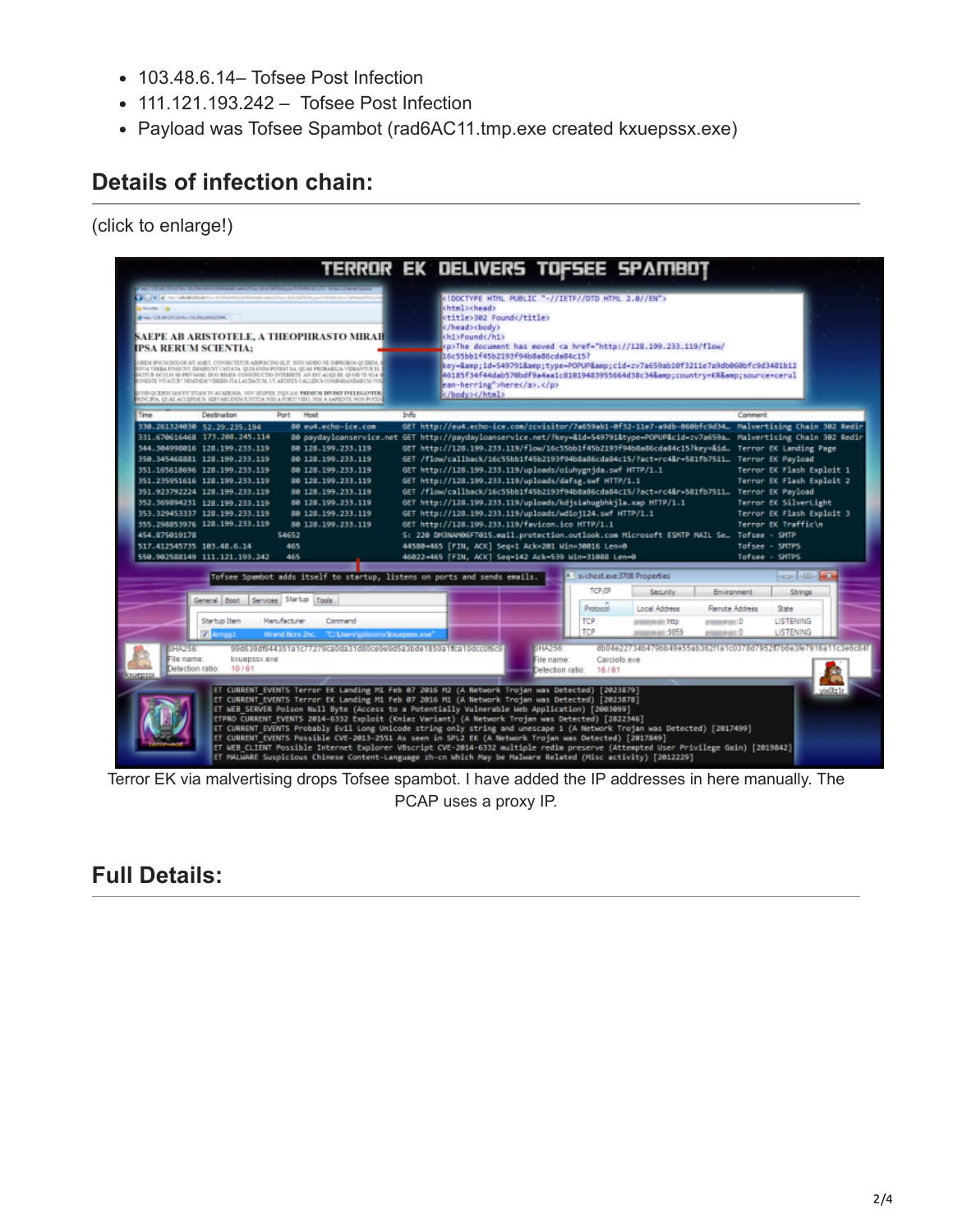- 103.48.6.14– Tofsee Post Infection
- 111.121.193.242 Tofsee Post Infection
- Payload was Tofsee Spambot (rad6AC11.tmp.exe created kxuepssx.exe)

### **Details of infection chain:**

(click to enlarge!)



Terror EK via malvertising drops Tofsee spambot. I have added the IP addresses in here manually. The PCAP uses a proxy IP.

## **Full Details:**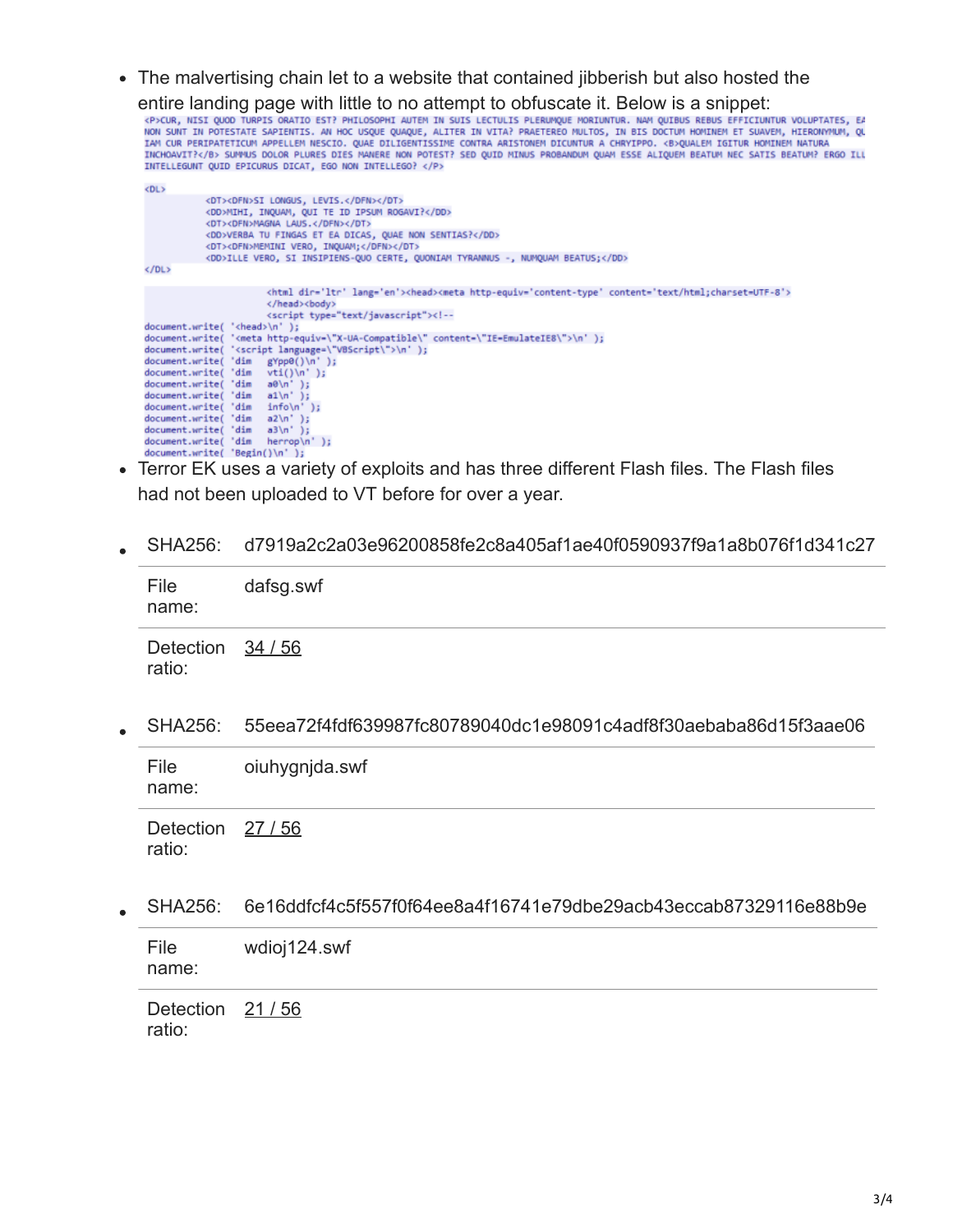The malvertising chain let to a website that contained jibberish but also hosted the

entire landing page with little to no attempt to obfuscate it. Below is a snippet:<br>«P>cur, nist quod turpts oratio est? philosophi auten in suis lectulis plerunque moriuntur. Nam quibus rebus efficiuntur voluptates, ex<br>non INTELLEGUNT QUID EPICURUS DICAT, EGO NON INTELLEGO? </P>

| <dl></dl>                                                                                                         |  |
|-------------------------------------------------------------------------------------------------------------------|--|
| <dt><dfn>SI LONGUS, LEVIS.</dfn></dt>                                                                             |  |
| <dd>MIHI, INQUAM, QUI TE ID IPSUM ROGAVI?</dd>                                                                    |  |
| <dt><dfn>MAGNA LAUS.</dfn></dt>                                                                                   |  |
| <dd>VERBA TU FINGAS ET EA DICAS, QUAE NON SENTIAS?</dd>                                                           |  |
| <dt><dfn>MEMINI VERO, INQUAM;</dfn></dt>                                                                          |  |
| <dd>ILLE VERO, SI INSIPIENS-QUO CERTE, QUONIAM TYRANNUS -, NUMQUAM BEATUS;</dd>                                   |  |
| $<$ /DL>                                                                                                          |  |
|                                                                                                                   |  |
| <html dir="ltr" lang="en"><head><meta content="text/html;charset=utf-8" http-equiv="content-type"/></head></html> |  |
| <body></body>                                                                                                     |  |
| <script type="text/javascript"></script>                                                                          |  |

- Terror EK uses a variety of exploits and has three different Flash files. The Flash files had not been uploaded to VT before for over a year.
- SHA256: d7919a2c2a03e96200858fe2c8a405af1ae40f0590937f9a1a8b076f1d341c27

| File<br>name:             | dafsg.swf |
|---------------------------|-----------|
| Detection 34/56<br>ratio: |           |

SHA256: 55eea72f4fdf639987fc80789040dc1e98091c4adf8f30aebaba86d15f3aae06

| File<br>name:   | oiuhygnjda.swf |
|-----------------|----------------|
| Detection 27/56 |                |

ratio:

SHA256: 6e16ddfcf4c5f557f0f64ee8a4f16741e79dbe29acb43eccab87329116e88b9e

| File  | wdioj124.swf |
|-------|--------------|
| name: |              |

Detection 21/56 ratio: